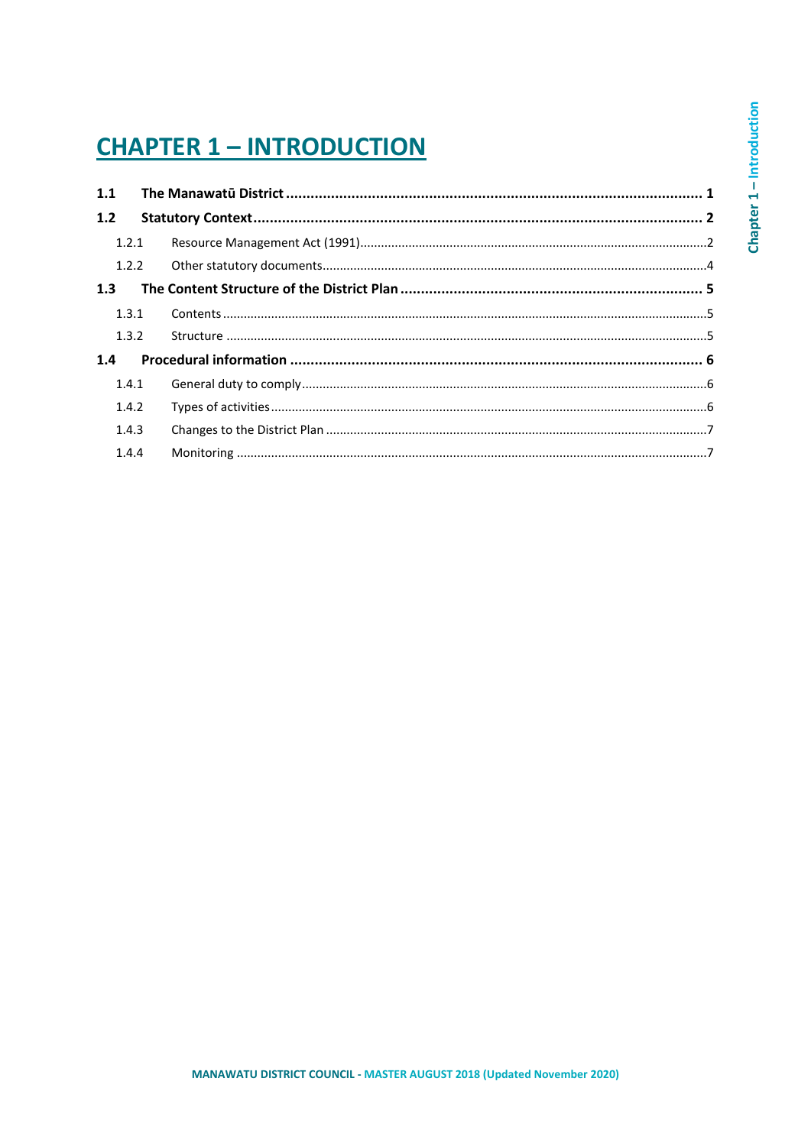# **CHAPTER 1 - INTRODUCTION**

| 1.1   |  |  |
|-------|--|--|
| 1.2   |  |  |
| 1.2.1 |  |  |
| 1.2.2 |  |  |
| 1.3   |  |  |
| 1.3.1 |  |  |
| 1.3.2 |  |  |
| 1.4   |  |  |
| 1.4.1 |  |  |
| 1.4.2 |  |  |
| 1.4.3 |  |  |
| 1.4.4 |  |  |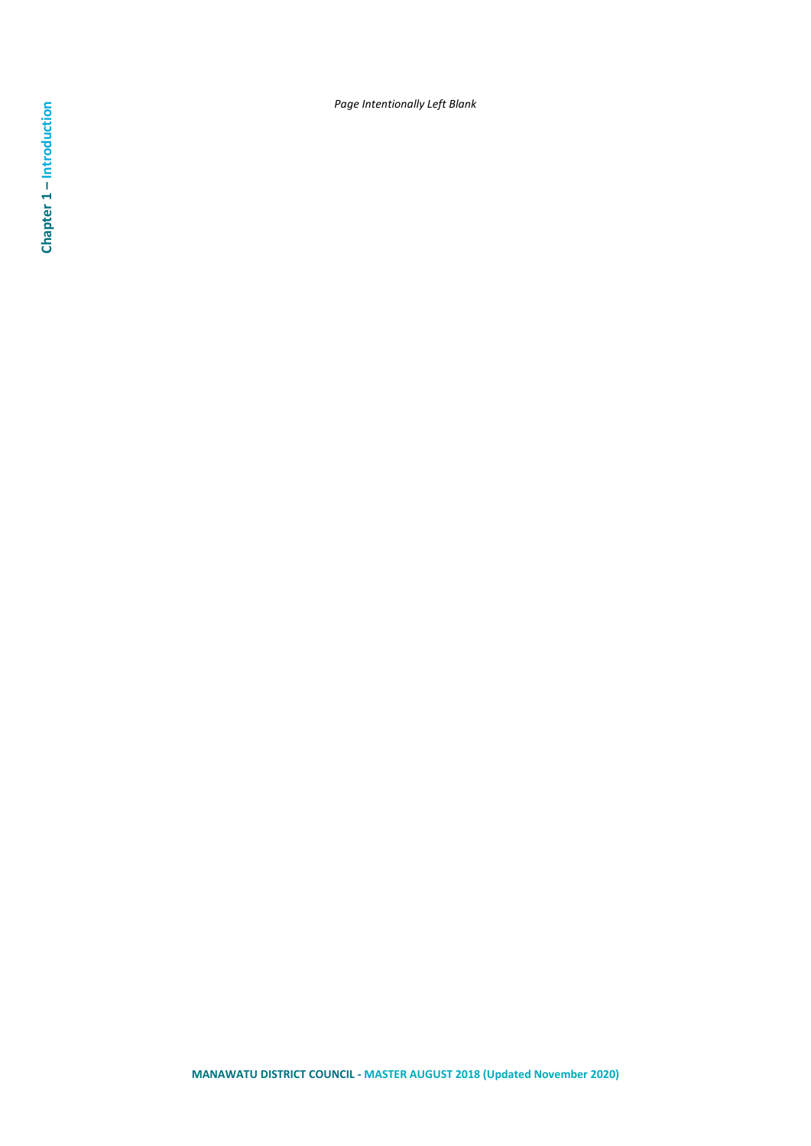*Page Intentionally Left Blank*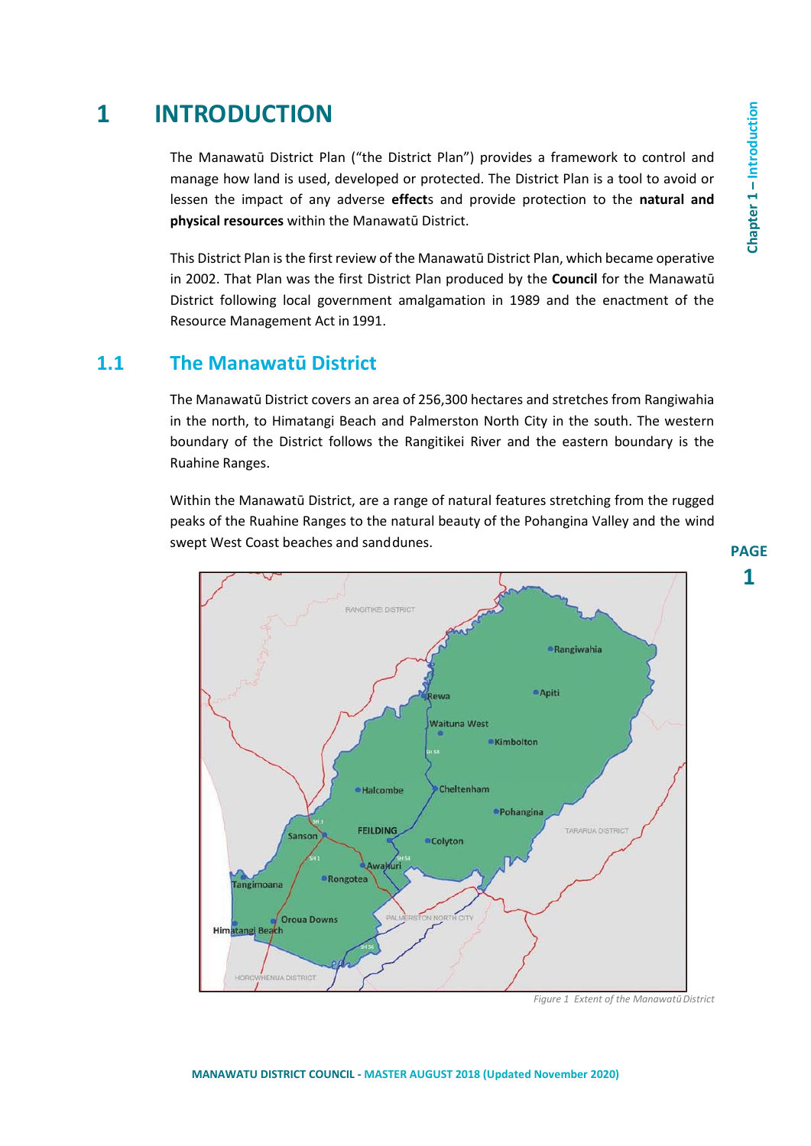**PAGE**

 $\mathbf 1$ 

# **1 INTRODUCTION**

The Manawatū District Plan ("the District Plan") provides a framework to control and manage how land is used, developed or protected. The District Plan is a tool to avoid or lessen the impact of any adverse **effect**s and provide protection to the **natural and physical resources** within the Manawatū District.

This District Plan is the first review of the Manawatū District Plan, which became operative in 2002. That Plan was the first District Plan produced by the **Council** for the Manawatū District following local government amalgamation in 1989 and the enactment of the Resource Management Act in 1991.

# <span id="page-2-0"></span>**1.1 The Manawatū District**

The Manawatū District covers an area of 256,300 hectares and stretches from Rangiwahia in the north, to Himatangi Beach and Palmerston North City in the south. The western boundary of the District follows the Rangitikei River and the eastern boundary is the Ruahine Ranges.

Within the Manawatū District, are a range of natural features stretching from the rugged peaks of the Ruahine Ranges to the natural beauty of the Pohangina Valley and the wind swept West Coast beaches and sanddunes.



*Figure 1 Extent of the ManawatūDistrict*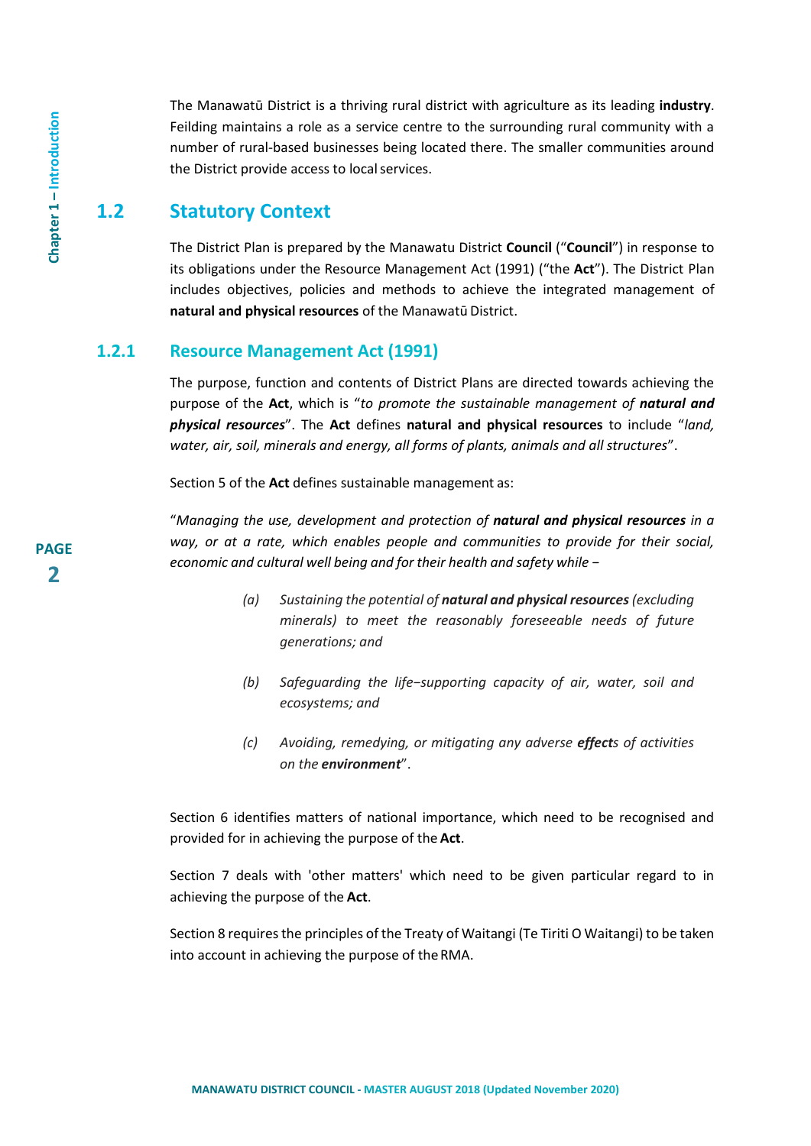The Manawatū District is a thriving rural district with agriculture as its leading **industry**. Feilding maintains a role as a service centre to the surrounding rural community with a number of rural-based businesses being located there. The smaller communities around the District provide access to local services.

# <span id="page-3-0"></span>**1.2 Statutory Context**

The District Plan is prepared by the Manawatu District **Council** ("**Council**") in response to its obligations under the Resource Management Act (1991) ("the **Act**"). The District Plan includes objectives, policies and methods to achieve the integrated management of **natural and physical resources** of the Manawatū District.

### <span id="page-3-1"></span>**1.2.1 Resource Management Act (1991)**

The purpose, function and contents of District Plans are directed towards achieving the purpose of the **Act**, which is "*to promote the sustainable management of natural and physical resources*". The **Act** defines **natural and physical resources** to include "*land, water, air, soil, minerals and energy, all forms of plants, animals and all structures*".

Section 5 of the **Act** defines sustainable management as:

"*Managing the use, development and protection of natural and physical resources in a way, or at a rate, which enables people and communities to provide for their social, economic and cultural well being and for their health and safety while −*

- *(a) Sustaining the potential of natural and physical resources (excluding minerals) to meet the reasonably foreseeable needs of future generations; and*
- *(b) Safeguarding the life−supporting capacity of air, water, soil and ecosystems; and*
- *(c) Avoiding, remedying, or mitigating any adverse effects of activities on the environment*".

Section 6 identifies matters of national importance, which need to be recognised and provided for in achieving the purpose of the **Act**.

Section 7 deals with 'other matters' which need to be given particular regard to in achieving the purpose of the **Act**.

Section 8 requires the principles of the Treaty of Waitangi (Te Tiriti O Waitangi) to be taken into account in achieving the purpose of theRMA.

**PAGE**

 $\overline{2}$ 

**MANAWATU DISTRICT COUNCIL - MASTER AUGUST 2018 (Updated November 2020)**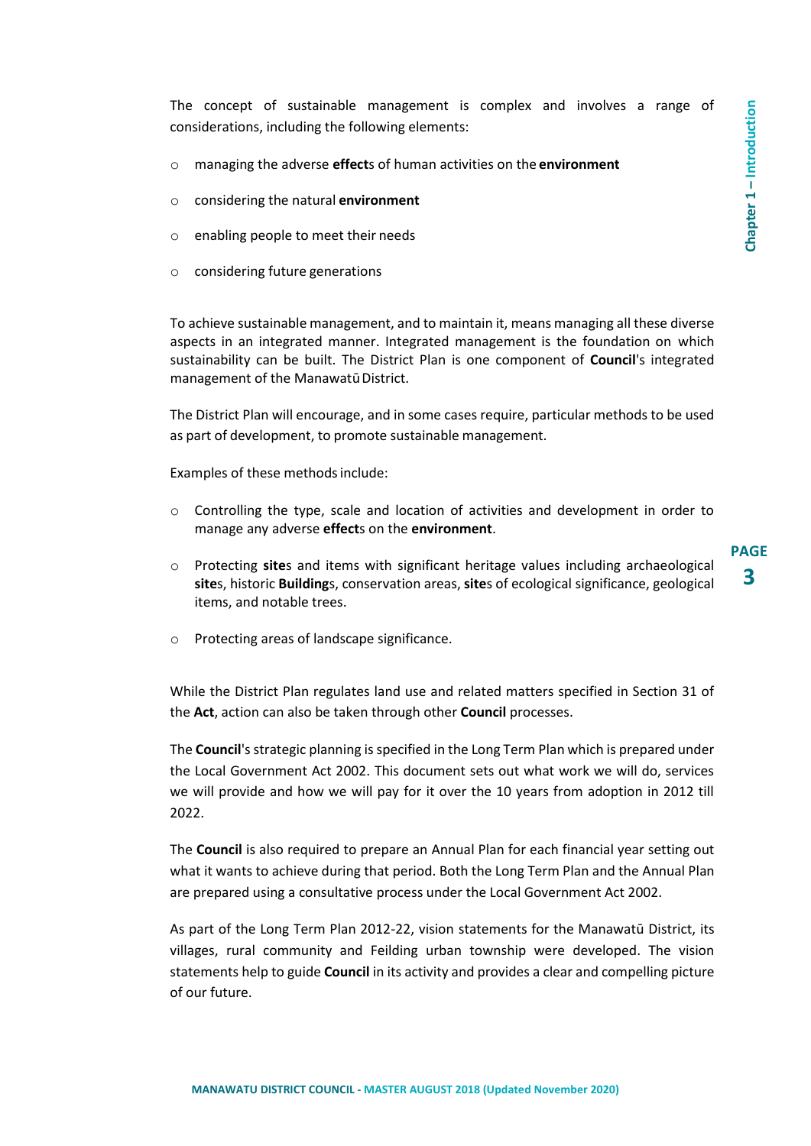The concept of sustainable management is complex and involves a range of considerations, including the following elements:

- o managing the adverse **effect**s of human activities on the **environment**
- o considering the natural **environment**
- o enabling people to meet their needs
- o considering future generations

To achieve sustainable management, and to maintain it, means managing all these diverse aspects in an integrated manner. Integrated management is the foundation on which sustainability can be built. The District Plan is one component of **Council**'s integrated management of the Manawatū District.

The District Plan will encourage, and in some cases require, particular methods to be used as part of development, to promote sustainable management.

Examples of these methodsinclude:

- $\circ$  Controlling the type, scale and location of activities and development in order to manage any adverse **effect**s on the **environment**.
- o Protecting **site**s and items with significant heritage values including archaeological **site**s, historic **Building**s, conservation areas, **site**s of ecological significance, geological items, and notable trees.
- o Protecting areas of landscape significance.

While the District Plan regulates land use and related matters specified in Section 31 of the **Act**, action can also be taken through other **Council** processes.

The **Council**'s strategic planning is specified in the Long Term Plan which is prepared under the Local Government Act 2002. This document sets out what work we will do, services we will provide and how we will pay for it over the 10 years from adoption in 2012 till 2022.

The **Council** is also required to prepare an Annual Plan for each financial year setting out what it wants to achieve during that period. Both the Long Term Plan and the Annual Plan are prepared using a consultative process under the Local Government Act 2002.

As part of the Long Term Plan 2012-22, vision statements for the Manawatū District, its villages, rural community and Feilding urban township were developed. The vision statements help to guide **Council** in its activity and provides a clear and compelling picture of our future.

# **PAGE 3**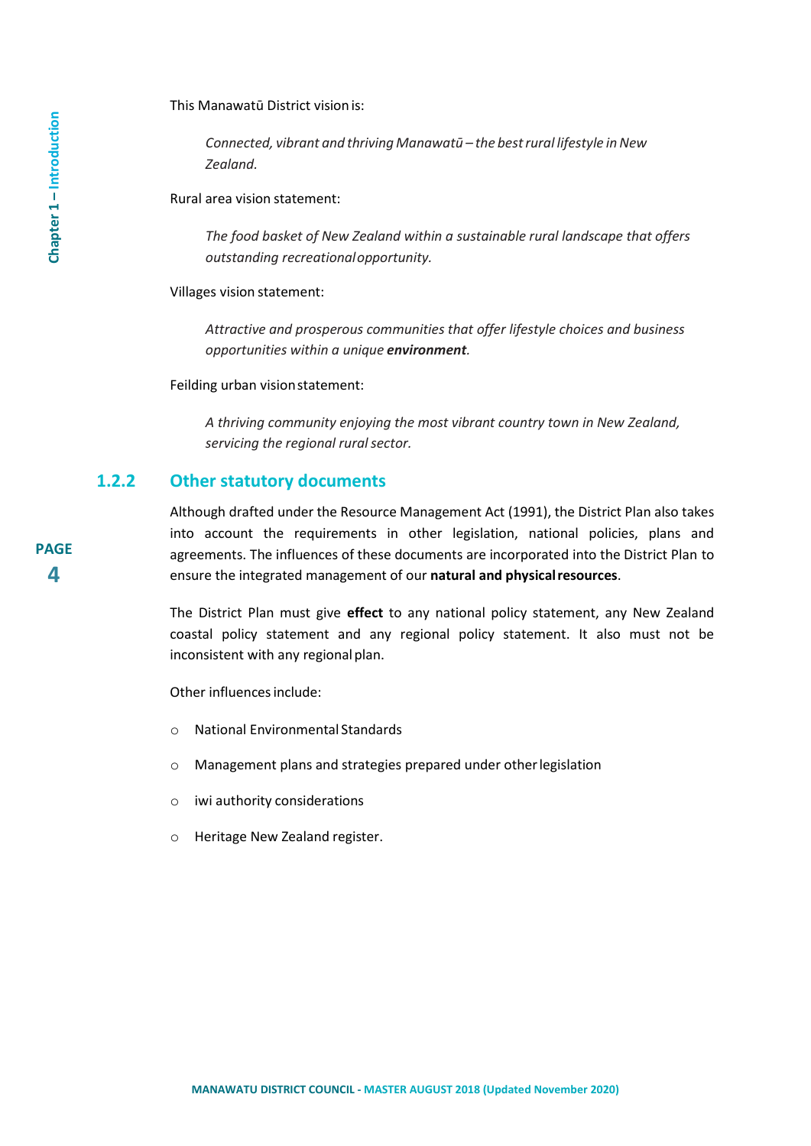This Manawatū District visionis:

*Connected, vibrant and thriving Manawatū – the bestrural lifestyle inNew Zealand.*

Rural area vision statement:

*The food basket of New Zealand within a sustainable rural landscape that offers outstanding recreationalopportunity.*

#### Villages vision statement:

*Attractive and prosperous communities that offer lifestyle choices and business opportunities within a unique environment.*

Feilding urban visionstatement:

*A thriving community enjoying the most vibrant country town in New Zealand, servicing the regional ruralsector.*

#### <span id="page-5-0"></span>**1.2.2 Other statutory documents**

Although drafted under the Resource Management Act (1991), the District Plan also takes into account the requirements in other legislation, national policies, plans and agreements. The influences of these documents are incorporated into the District Plan to ensure the integrated management of our **natural and physicalresources**.

The District Plan must give **effect** to any national policy statement, any New Zealand coastal policy statement and any regional policy statement. It also must not be inconsistent with any regional plan.

Other influences include:

- o National Environmental Standards
- o Management plans and strategies prepared under otherlegislation
- o iwi authority considerations
- o Heritage New Zealand register.

**PAGE**

4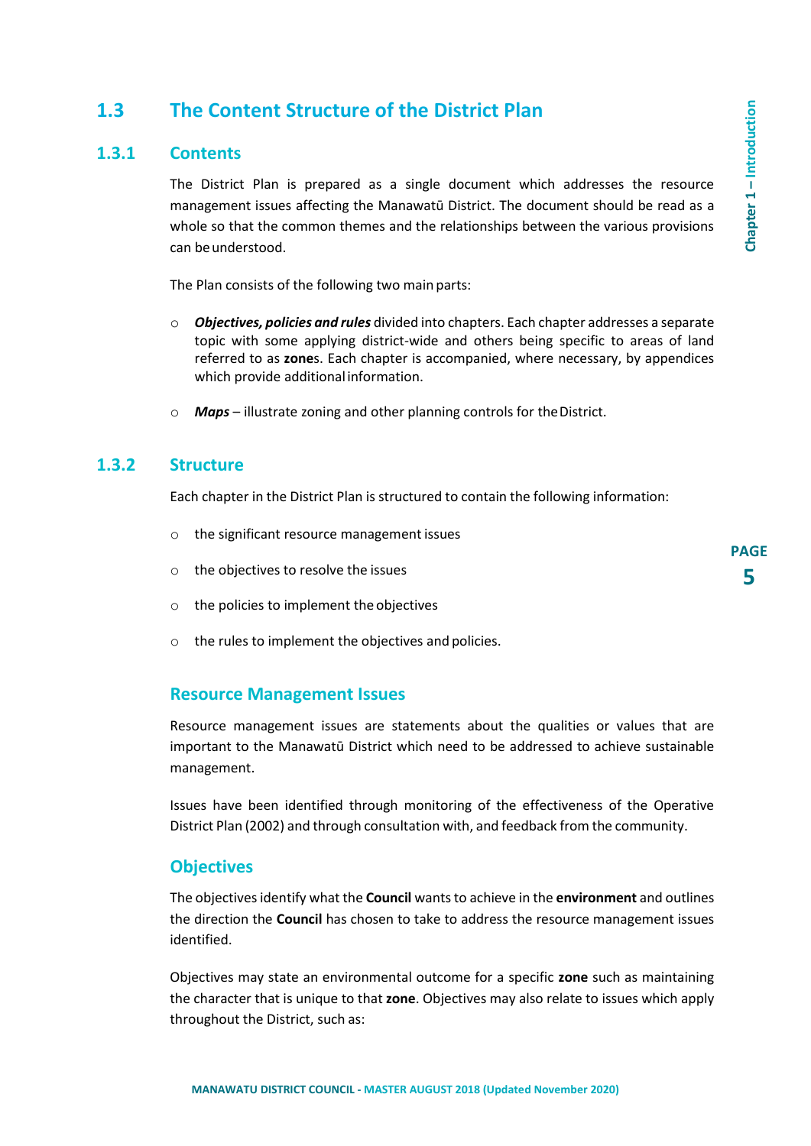# <span id="page-6-0"></span>**1.3 The Content Structure of the District Plan**

## <span id="page-6-1"></span>**1.3.1 Contents**

The District Plan is prepared as a single document which addresses the resource management issues affecting the Manawatū District. The document should be read as a whole so that the common themes and the relationships between the various provisions can beunderstood.

The Plan consists of the following two main parts:

- o *Objectives, policies and rules* divided into chapters. Each chapter addresses a separate topic with some applying district-wide and others being specific to areas of land referred to as **zone**s. Each chapter is accompanied, where necessary, by appendices which provide additional information.
- o *Maps*  illustrate zoning and other planning controls for theDistrict.

#### <span id="page-6-2"></span>**1.3.2 Structure**

Each chapter in the District Plan is structured to contain the following information:

- o the significant resource management issues
- o the objectives to resolve the issues
- o the policies to implement the objectives
- o the rules to implement the objectives and policies.

#### **Resource Management Issues**

Resource management issues are statements about the qualities or values that are important to the Manawatū District which need to be addressed to achieve sustainable management.

Issues have been identified through monitoring of the effectiveness of the Operative District Plan (2002) and through consultation with, and feedback from the community.

#### **Objectives**

The objectives identify what the **Council** wants to achieve in the **environment** and outlines the direction the **Council** has chosen to take to address the resource management issues identified.

Objectives may state an environmental outcome for a specific **zone** such as maintaining the character that is unique to that **zone**. Objectives may also relate to issues which apply throughout the District, such as: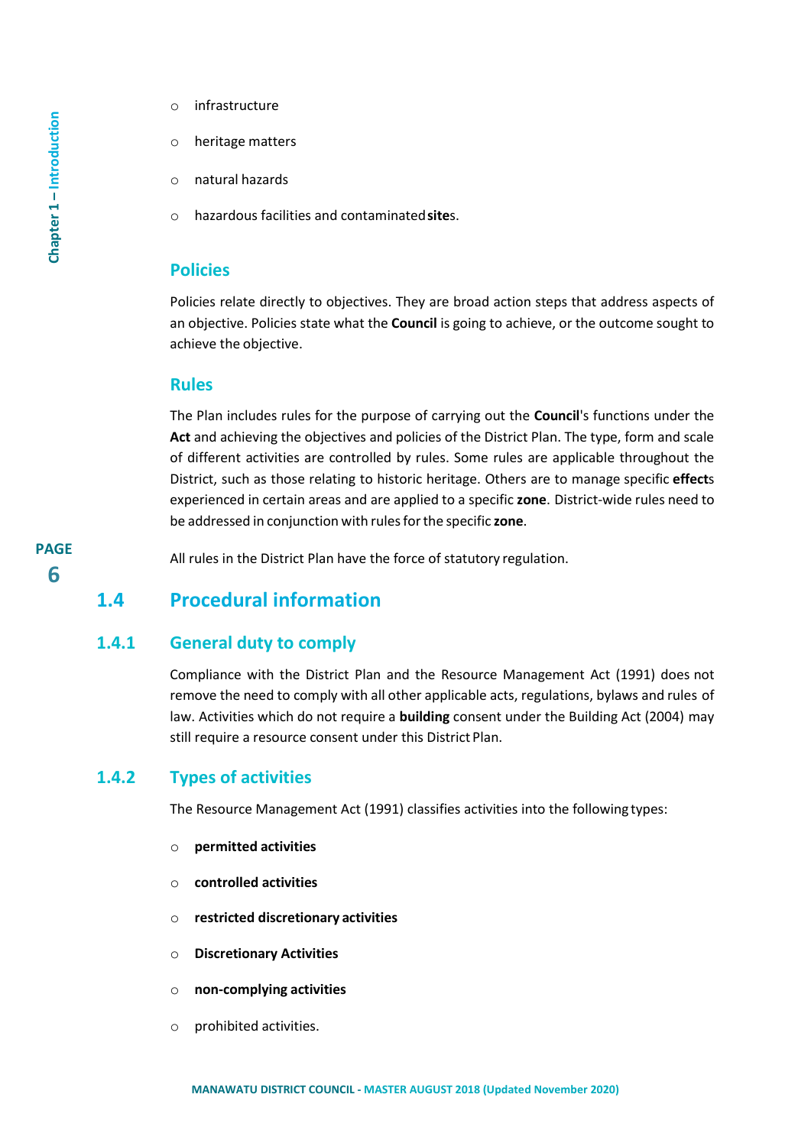- o infrastructure
- o heritage matters
- o natural hazards
- o hazardous facilities and contaminated**site**s.

#### **Policies**

Policies relate directly to objectives. They are broad action steps that address aspects of an objective. Policies state what the **Council** is going to achieve, or the outcome sought to achieve the objective.

#### **Rules**

The Plan includes rules for the purpose of carrying out the **Council**'s functions under the **Act** and achieving the objectives and policies of the District Plan. The type, form and scale of different activities are controlled by rules. Some rules are applicable throughout the District, such as those relating to historic heritage. Others are to manage specific **effect**s experienced in certain areas and are applied to a specific **zone**. District-wide rules need to be addressed in conjunction with rulesforthe specific **zone**.

All rules in the District Plan have the force of statutory regulation.

# <span id="page-7-0"></span>**1.4 Procedural information**

#### <span id="page-7-1"></span>**1.4.1 General duty to comply**

Compliance with the District Plan and the Resource Management Act (1991) does not remove the need to comply with all other applicable acts, regulations, bylaws and rules of law. Activities which do not require a **building** consent under the Building Act (2004) may still require a resource consent under this District Plan.

#### <span id="page-7-2"></span>**1.4.2 Types of activities**

The Resource Management Act (1991) classifies activities into the following types:

- o **permitted activities**
- o **controlled activities**
- o **restricted discretionary activities**
- o **Discretionary Activities**
- o **non-complying activities**
- o prohibited activities.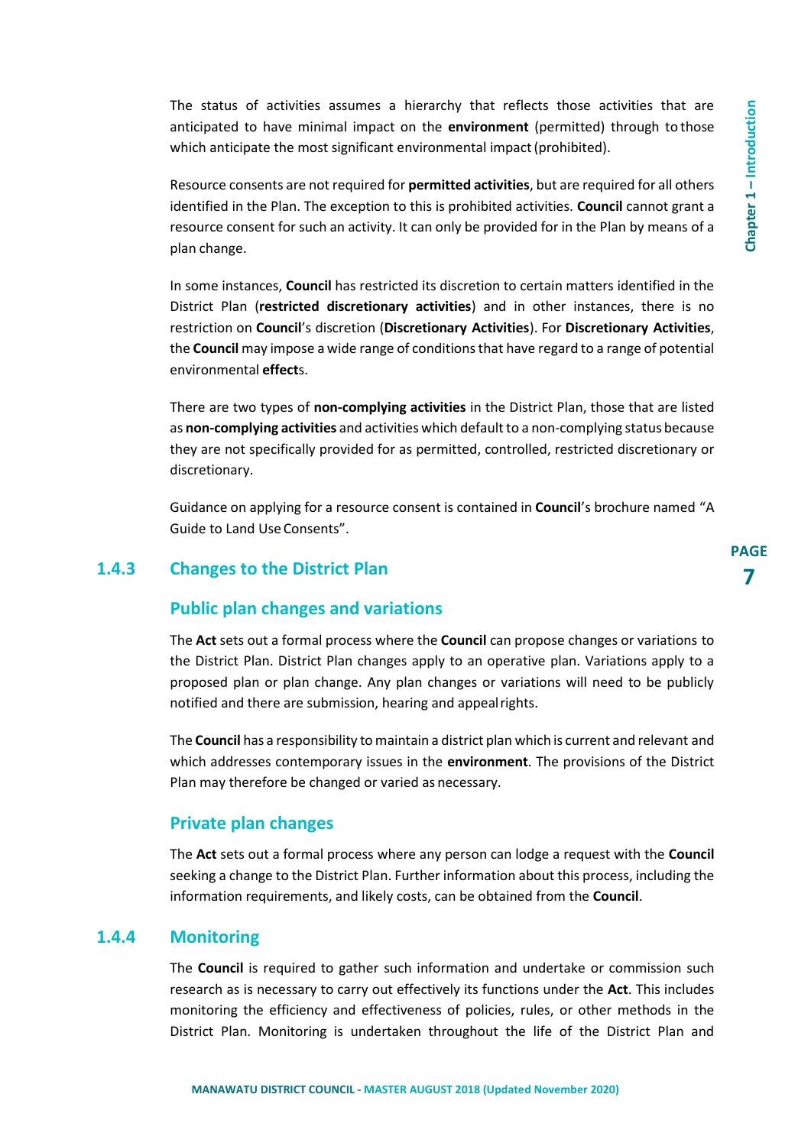The status of activities assumes a hierarchy that reflects those activities that are anticipated to have minimal impact on the **environment** (permitted) through to those which anticipate the most significant environmental impact (prohibited).

Resource consents are not required for **permitted activities**, but are required for all others identified in the Plan. The exception to this is prohibited activities. **Council** cannot grant a resource consent for such an activity. It can only be provided for in the Plan by means of a plan change.

In some instances, **Council** has restricted its discretion to certain matters identified in the District Plan (**restricted discretionary activities**) and in other instances, there is no restriction on **Council**'s discretion (**Discretionary Activities**). For **Discretionary Activities**, the **Council** may impose a wide range of conditions that have regard to a range of potential environmental **effect**s.

There are two types of **non-complying activities** in the District Plan, those that are listed as **non-complying activities** and activities which default to a non-complying status because they are not specifically provided for as permitted, controlled, restricted discretionary or discretionary.

Guidance on applying for a resource consent is contained in **Council**'s brochure named "A Guide to Land Use Consents".

### <span id="page-8-0"></span>**1.4.3 Changes to the District Plan**

# **Public plan changes and variations**

The **Act** sets out a formal process where the **Council** can propose changes or variations to the District Plan. District Plan changes apply to an operative plan. Variations apply to a proposed plan or plan change. Any plan changes or variations will need to be publicly notified and there are submission, hearing and appealrights.

The **Council** has a responsibility to maintain a district plan which is current and relevant and which addresses contemporary issues in the **environment**. The provisions of the District Plan may therefore be changed or varied as necessary.

# **Private plan changes**

The **Act** sets out a formal process where any person can lodge a request with the **Council** seeking a change to the District Plan. Further information about this process, including the information requirements, and likely costs, can be obtained from the **Council**.

# <span id="page-8-1"></span>**1.4.4 Monitoring**

The **Council** is required to gather such information and undertake or commission such research as is necessary to carry out effectively its functions under the **Act**. This includes monitoring the efficiency and effectiveness of policies, rules, or other methods in the District Plan. Monitoring is undertaken throughout the life of the District Plan and